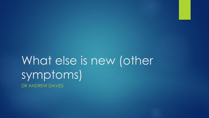# What else is new (other symptoms) DR ANDREW DAVIES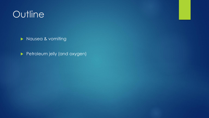# **Outline**

**Nausea & vomiting** 

Petroleum jelly (and oxygen)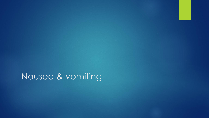Nausea & vomiting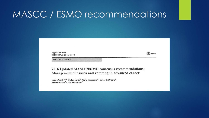**Support Care Cancer** DOI 10.1007/s00520-016-3371-3

(CrossMark

**SPECIAL ARTICLE** 

2016 Updated MASCC/ESMO consensus recommendations: Management of nausea and vomiting in advanced cancer

Declan Walsh<sup>1,2,3</sup> • Mellar Davis<sup>4</sup> • Carla Ripamonti<sup>5</sup> • Eduardo Bruera<sup>6</sup> • Andrew Davies<sup>7</sup> · Alex Molassiotis<sup>8</sup>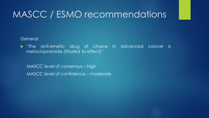General:

 "The anti-emetic drug of choice in advanced cancer is metoclopramide (titrated to effect)"

MASCC level of consensus – high MASCC level of confidence – moderate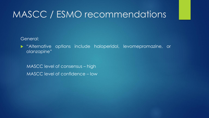General:

 "Alternative options include haloperidol, levomepromazine, or olanzapine"

MASCC level of consensus – high MASCC level of confidence – low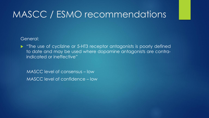#### General:

• "The use of cyclizine or 5-HT3 receptor antagonists is poorly defined to date and may be used where dopamine antagonists are contraindicated or ineffective"

MASCC level of consensus – low MASCC level of confidence – low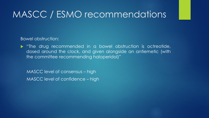Bowel obstruction:

 "The drug recommended in a bowel obstruction is octreotide, dosed around the clock, and given alongside an antiemetic (with the committee recommending haloperidol)"

MASCC level of consensus – high MASCC level of confidence – high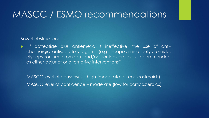Bowel obstruction:

 "If octreotide plus antiemetic is ineffective, the use of anticholinergic antisecretory agents (e.g., scopolamine butylbromide, glycopyrronium bromide) and/or corticosteroids is recommended as either adjunct or alternative interventions"

MASCC level of consensus – high (moderate for corticosteroids) MASCC level of confidence – moderate (low for corticosteroids)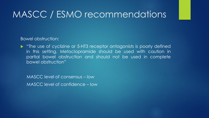Bowel obstruction:

• "The use of cyclizine or 5-HT3 receptor antagonists is poorly defined in this setting. Metoclopramide should be used with caution in partial bowel obstruction and should not be used in complete bowel obstruction"

MASCC level of consensus – low MASCC level of confidence – low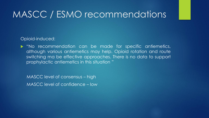#### Opioid-induced:

 "No recommendation can be made for specific antiemetics, although various antiemetics may help. Opioid rotation and route switching ma be effective approaches. There is no data to support prophylactic antiemetics in this situation "

MASCC level of consensus – high MASCC level of confidence – low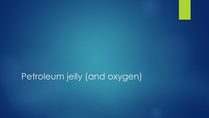Petroleum jelly (and oxygen)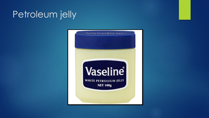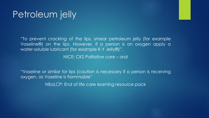"To prevent cracking of the lips, smear petroleum jelly (for example Vaseline®) on the lips. However, if a person is on oxygen apply a water-soluble lubricant (for example K-Y Jelly®)".

NICE: CKS Palliative care – oral

"Vaseline or similar for lips (caution is necessary if a person is receiving oxygen, as Vaseline is flammable"

NEoLCP: End of life care learning resource pack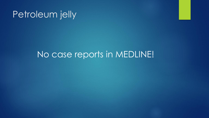### No case reports in MEDLINE!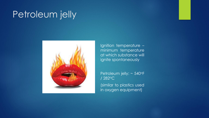

Ignition temperature – minimum temperature at which substance will ignite spontaneously

Petroleum jelly: ~ 540°F / 282<sup>o</sup>C

(similar to plastics used in oxygen equipment)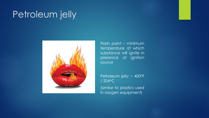

Flash point – minimum temperature at which substance will ignite in presence of ignition source

Petroleum jelly: ~ 400°F / 204<sup>o</sup>C

(similar to plastics used in oxygen equipment)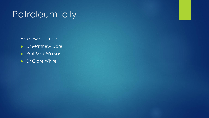Acknowledgments:

- **Dr Matthew Dore**
- Prof Max Watson
- **Dr Clare White**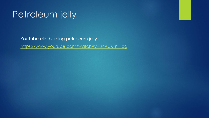YouTube clip burning petroleum jelly <https://www.youtube.com/watch?v=8hAUKTnHlcg>